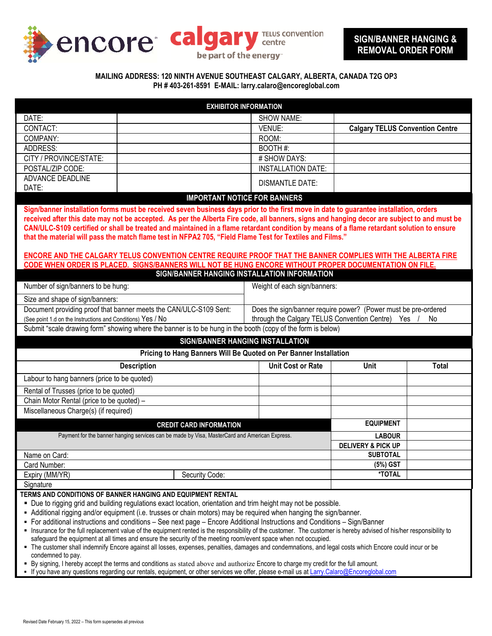

### **MAILING ADDRESS: 120 NINTH AVENUE SOUTHEAST CALGARY, ALBERTA, CANADA T2G OP3 PH # 403-261-8591 E-MAIL: larry.calaro@encoreglobal.com**

| <b>EXHIBITOR INFORMATION</b>                                                                                                                                                                                                                                                                                                                                                                                                                                                                                                                                                                                                                                                                                                                                                                                                                                                                                                                                                                                                                                                                                                                                                                         |                                                                |                                        |              |
|------------------------------------------------------------------------------------------------------------------------------------------------------------------------------------------------------------------------------------------------------------------------------------------------------------------------------------------------------------------------------------------------------------------------------------------------------------------------------------------------------------------------------------------------------------------------------------------------------------------------------------------------------------------------------------------------------------------------------------------------------------------------------------------------------------------------------------------------------------------------------------------------------------------------------------------------------------------------------------------------------------------------------------------------------------------------------------------------------------------------------------------------------------------------------------------------------|----------------------------------------------------------------|----------------------------------------|--------------|
| DATE:                                                                                                                                                                                                                                                                                                                                                                                                                                                                                                                                                                                                                                                                                                                                                                                                                                                                                                                                                                                                                                                                                                                                                                                                | <b>SHOW NAME:</b>                                              |                                        |              |
| CONTACT:                                                                                                                                                                                                                                                                                                                                                                                                                                                                                                                                                                                                                                                                                                                                                                                                                                                                                                                                                                                                                                                                                                                                                                                             | VENUE:                                                         | <b>Calgary TELUS Convention Centre</b> |              |
| COMPANY:                                                                                                                                                                                                                                                                                                                                                                                                                                                                                                                                                                                                                                                                                                                                                                                                                                                                                                                                                                                                                                                                                                                                                                                             | ROOM:                                                          |                                        |              |
| ADDRESS:                                                                                                                                                                                                                                                                                                                                                                                                                                                                                                                                                                                                                                                                                                                                                                                                                                                                                                                                                                                                                                                                                                                                                                                             | BOOTH#:                                                        |                                        |              |
| CITY / PROVINCE/STATE:                                                                                                                                                                                                                                                                                                                                                                                                                                                                                                                                                                                                                                                                                                                                                                                                                                                                                                                                                                                                                                                                                                                                                                               | # SHOW DAYS:                                                   |                                        |              |
| POSTAL/ZIP CODE:                                                                                                                                                                                                                                                                                                                                                                                                                                                                                                                                                                                                                                                                                                                                                                                                                                                                                                                                                                                                                                                                                                                                                                                     | <b>INSTALLATION DATE:</b>                                      |                                        |              |
| ADVANCE DEADLINE                                                                                                                                                                                                                                                                                                                                                                                                                                                                                                                                                                                                                                                                                                                                                                                                                                                                                                                                                                                                                                                                                                                                                                                     | <b>DISMANTLE DATE:</b>                                         |                                        |              |
| DATE:                                                                                                                                                                                                                                                                                                                                                                                                                                                                                                                                                                                                                                                                                                                                                                                                                                                                                                                                                                                                                                                                                                                                                                                                |                                                                |                                        |              |
| <b>IMPORTANT NOTICE FOR BANNERS</b>                                                                                                                                                                                                                                                                                                                                                                                                                                                                                                                                                                                                                                                                                                                                                                                                                                                                                                                                                                                                                                                                                                                                                                  |                                                                |                                        |              |
| Sign/banner installation forms must be received seven business days prior to the first move in date to guarantee installation, orders<br>received after this date may not be accepted. As per the Alberta Fire code, all banners, signs and hanging decor are subject to and must be<br>CAN/ULC-S109 certified or shall be treated and maintained in a flame retardant condition by means of a flame retardant solution to ensure<br>that the material will pass the match flame test in NFPA2 705, "Field Flame Test for Textiles and Films."<br><b>ENCORE AND THE CALGARY TELUS CONVENTION CENTRE REQUIRE PROOF THAT THE BANNER COMPLIES WITH THE ALBERTA FIRE</b><br>CODE WHEN ORDER IS PLACED. SIGNS/BANNERS WILL NOT BE HUNG ENCORE WITHOUT PROPER DOCUMENTATION ON FILE.                                                                                                                                                                                                                                                                                                                                                                                                                       |                                                                |                                        |              |
| SIGN/BANNER HANGING INSTALLATION INFORMATION                                                                                                                                                                                                                                                                                                                                                                                                                                                                                                                                                                                                                                                                                                                                                                                                                                                                                                                                                                                                                                                                                                                                                         |                                                                |                                        |              |
| Number of sign/banners to be hung:                                                                                                                                                                                                                                                                                                                                                                                                                                                                                                                                                                                                                                                                                                                                                                                                                                                                                                                                                                                                                                                                                                                                                                   | Weight of each sign/banners:                                   |                                        |              |
| Size and shape of sign/banners:                                                                                                                                                                                                                                                                                                                                                                                                                                                                                                                                                                                                                                                                                                                                                                                                                                                                                                                                                                                                                                                                                                                                                                      |                                                                |                                        |              |
| Document providing proof that banner meets the CAN/ULC-S109 Sent:                                                                                                                                                                                                                                                                                                                                                                                                                                                                                                                                                                                                                                                                                                                                                                                                                                                                                                                                                                                                                                                                                                                                    | Does the sign/banner require power? (Power must be pre-ordered |                                        |              |
| (See point 1.d on the Instructions and Conditions) Yes / No                                                                                                                                                                                                                                                                                                                                                                                                                                                                                                                                                                                                                                                                                                                                                                                                                                                                                                                                                                                                                                                                                                                                          | through the Calgary TELUS Convention Centre) Yes<br>No         |                                        |              |
| Submit "scale drawing form" showing where the banner is to be hung in the booth (copy of the form is below)                                                                                                                                                                                                                                                                                                                                                                                                                                                                                                                                                                                                                                                                                                                                                                                                                                                                                                                                                                                                                                                                                          |                                                                |                                        |              |
| SIGN/BANNER HANGING INSTALLATION                                                                                                                                                                                                                                                                                                                                                                                                                                                                                                                                                                                                                                                                                                                                                                                                                                                                                                                                                                                                                                                                                                                                                                     |                                                                |                                        |              |
| Pricing to Hang Banners Will Be Quoted on Per Banner Installation                                                                                                                                                                                                                                                                                                                                                                                                                                                                                                                                                                                                                                                                                                                                                                                                                                                                                                                                                                                                                                                                                                                                    |                                                                |                                        |              |
| <b>Description</b>                                                                                                                                                                                                                                                                                                                                                                                                                                                                                                                                                                                                                                                                                                                                                                                                                                                                                                                                                                                                                                                                                                                                                                                   | <b>Unit Cost or Rate</b>                                       | Unit                                   | <b>Total</b> |
| Labour to hang banners (price to be quoted)                                                                                                                                                                                                                                                                                                                                                                                                                                                                                                                                                                                                                                                                                                                                                                                                                                                                                                                                                                                                                                                                                                                                                          |                                                                |                                        |              |
| Rental of Trusses (price to be quoted)                                                                                                                                                                                                                                                                                                                                                                                                                                                                                                                                                                                                                                                                                                                                                                                                                                                                                                                                                                                                                                                                                                                                                               |                                                                |                                        |              |
| Chain Motor Rental (price to be quoted) -                                                                                                                                                                                                                                                                                                                                                                                                                                                                                                                                                                                                                                                                                                                                                                                                                                                                                                                                                                                                                                                                                                                                                            |                                                                |                                        |              |
| Miscellaneous Charge(s) (if required)                                                                                                                                                                                                                                                                                                                                                                                                                                                                                                                                                                                                                                                                                                                                                                                                                                                                                                                                                                                                                                                                                                                                                                |                                                                |                                        |              |
| <b>CREDIT CARD INFORMATION</b>                                                                                                                                                                                                                                                                                                                                                                                                                                                                                                                                                                                                                                                                                                                                                                                                                                                                                                                                                                                                                                                                                                                                                                       |                                                                | <b>EQUIPMENT</b>                       |              |
| Payment for the banner hanging services can be made by Visa, MasterCard and American Express.                                                                                                                                                                                                                                                                                                                                                                                                                                                                                                                                                                                                                                                                                                                                                                                                                                                                                                                                                                                                                                                                                                        |                                                                | <b>LABOUR</b>                          |              |
|                                                                                                                                                                                                                                                                                                                                                                                                                                                                                                                                                                                                                                                                                                                                                                                                                                                                                                                                                                                                                                                                                                                                                                                                      |                                                                | <b>DELIVERY &amp; PICK UP</b>          |              |
| Name on Card:                                                                                                                                                                                                                                                                                                                                                                                                                                                                                                                                                                                                                                                                                                                                                                                                                                                                                                                                                                                                                                                                                                                                                                                        |                                                                | <b>SUBTOTAL</b>                        |              |
| Card Number:                                                                                                                                                                                                                                                                                                                                                                                                                                                                                                                                                                                                                                                                                                                                                                                                                                                                                                                                                                                                                                                                                                                                                                                         |                                                                | (5%) GST                               |              |
| Expiry (MM/YR)<br>Security Code:                                                                                                                                                                                                                                                                                                                                                                                                                                                                                                                                                                                                                                                                                                                                                                                                                                                                                                                                                                                                                                                                                                                                                                     |                                                                | *TOTAL                                 |              |
| Signature                                                                                                                                                                                                                                                                                                                                                                                                                                                                                                                                                                                                                                                                                                                                                                                                                                                                                                                                                                                                                                                                                                                                                                                            |                                                                |                                        |              |
| TERMS AND CONDITIONS OF BANNER HANGING AND EQUIPMENT RENTAL<br>- Due to rigging grid and building regulations exact location, orientation and trim height may not be possible.<br>- Additional rigging and/or equipment (i.e. trusses or chain motors) may be required when hanging the sign/banner.<br>• For additional instructions and conditions – See next page – Encore Additional Instructions and Conditions – Sign/Banner<br>" Insurance for the full replacement value of the equipment rented is the responsibility of the customer. The customer is hereby advised of his/her responsibility to<br>safeguard the equipment at all times and ensure the security of the meeting room/event space when not occupied.<br>• The customer shall indemnify Encore against all losses, expenses, penalties, damages and condemnations, and legal costs which Encore could incur or be<br>condemned to pay.<br>" By signing, I hereby accept the terms and conditions as stated above and authorize Encore to charge my credit for the full amount.<br>If you have any questions regarding our rentals, equipment, or other services we offer, please e-mail us at Larry.Calaro@Encoreglobal.com |                                                                |                                        |              |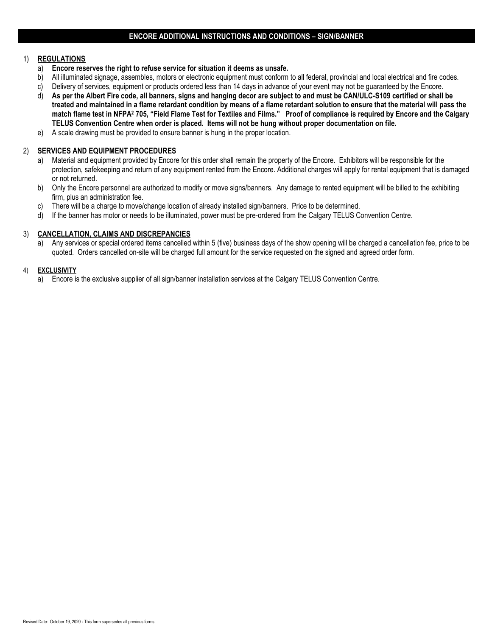## 1) **REGULATIONS**

- a) **Encore reserves the right to refuse service for situation it deems as unsafe.**
- b) All illuminated signage, assembles, motors or electronic equipment must conform to all federal, provincial and local electrical and fire codes.
- c) Delivery of services, equipment or products ordered less than 14 days in advance of your event may not be guaranteed by the Encore.
- d) **As per the Albert Fire code, all banners, signs and hanging decor are subject to and must be CAN/ULC-S109 certified or shall be treated and maintained in a flame retardant condition by means of a flame retardant solution to ensure that the material will pass the match flame test in NFPA<sup>2</sup> 705, "Field Flame Test for Textiles and Films." Proof of compliance is required by Encore and the Calgary TELUS Convention Centre when order is placed. Items will not be hung without proper documentation on file.**
- e) A scale drawing must be provided to ensure banner is hung in the proper location.

## 2) **SERVICES AND EQUIPMENT PROCEDURES**

- a) Material and equipment provided by Encore for this order shall remain the property of the Encore. Exhibitors will be responsible for the protection, safekeeping and return of any equipment rented from the Encore. Additional charges will apply for rental equipment that is damaged or not returned.
- b) Only the Encore personnel are authorized to modify or move signs/banners. Any damage to rented equipment will be billed to the exhibiting firm, plus an administration fee.
- c) There will be a charge to move/change location of already installed sign/banners. Price to be determined.
- d) If the banner has motor or needs to be illuminated, power must be pre-ordered from the Calgary TELUS Convention Centre.

### 3) **CANCELLATION, CLAIMS AND DISCREPANCIES**

a) Any services or special ordered items cancelled within 5 (five) business days of the show opening will be charged a cancellation fee, price to be quoted. Orders cancelled on-site will be charged full amount for the service requested on the signed and agreed order form.

#### 4) **EXCLUSIVITY**

a) Encore is the exclusive supplier of all sign/banner installation services at the Calgary TELUS Convention Centre.